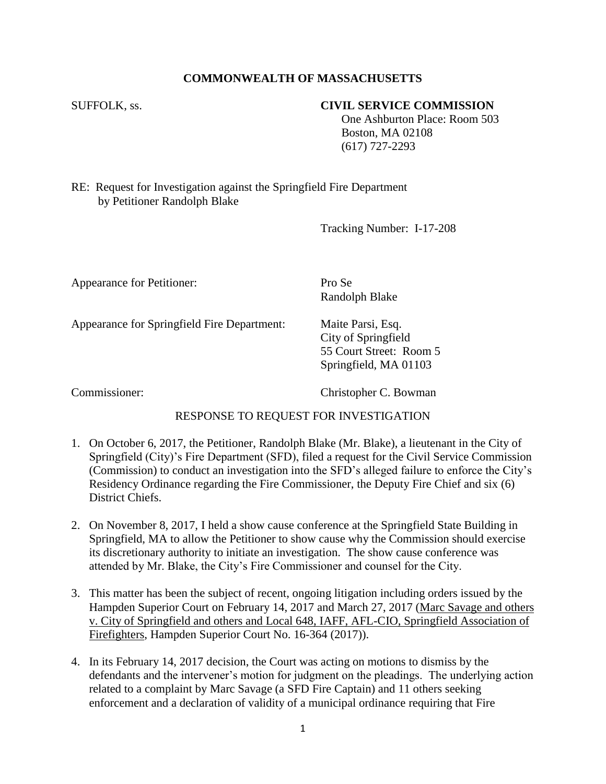# **COMMONWEALTH OF MASSACHUSETTS**

#### SUFFOLK, ss. **CIVIL SERVICE COMMISSION**

 One Ashburton Place: Room 503 Boston, MA 02108 (617) 727-2293

RE: Request for Investigation against the Springfield Fire Department by Petitioner Randolph Blake

Tracking Number: I-17-208

Appearance for Petitioner: Pro Se

Randolph Blake

Appearance for Springfield Fire Department: Maite Parsi, Esq.

City of Springfield 55 Court Street: Room 5 Springfield, MA 01103

Commissioner: Christopher C. Bowman

### RESPONSE TO REQUEST FOR INVESTIGATION

- 1. On October 6, 2017, the Petitioner, Randolph Blake (Mr. Blake), a lieutenant in the City of Springfield (City)'s Fire Department (SFD), filed a request for the Civil Service Commission (Commission) to conduct an investigation into the SFD's alleged failure to enforce the City's Residency Ordinance regarding the Fire Commissioner, the Deputy Fire Chief and six (6) District Chiefs.
- 2. On November 8, 2017, I held a show cause conference at the Springfield State Building in Springfield, MA to allow the Petitioner to show cause why the Commission should exercise its discretionary authority to initiate an investigation. The show cause conference was attended by Mr. Blake, the City's Fire Commissioner and counsel for the City.
- 3. This matter has been the subject of recent, ongoing litigation including orders issued by the Hampden Superior Court on February 14, 2017 and March 27, 2017 (Marc Savage and others v. City of Springfield and others and Local 648, IAFF, AFL-CIO, Springfield Association of Firefighters, Hampden Superior Court No. 16-364 (2017)).
- 4. In its February 14, 2017 decision, the Court was acting on motions to dismiss by the defendants and the intervener's motion for judgment on the pleadings. The underlying action related to a complaint by Marc Savage (a SFD Fire Captain) and 11 others seeking enforcement and a declaration of validity of a municipal ordinance requiring that Fire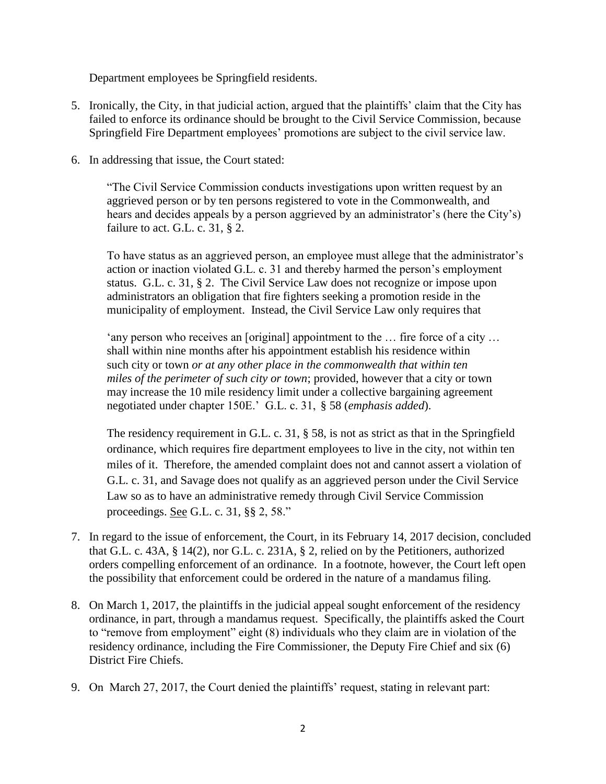Department employees be Springfield residents.

- 5. Ironically, the City, in that judicial action, argued that the plaintiffs' claim that the City has failed to enforce its ordinance should be brought to the Civil Service Commission, because Springfield Fire Department employees' promotions are subject to the civil service law.
- 6. In addressing that issue, the Court stated:

"The Civil Service Commission conducts investigations upon written request by an aggrieved person or by ten persons registered to vote in the Commonwealth, and hears and decides appeals by a person aggrieved by an administrator's (here the City's) failure to act. G.L. c. 31,  $\S$  2.

To have status as an aggrieved person, an employee must allege that the administrator's action or inaction violated G.L. c. 31 and thereby harmed the person's employment status. G.L. c. 31, § 2. The Civil Service Law does not recognize or impose upon administrators an obligation that fire fighters seeking a promotion reside in the municipality of employment. Instead, the Civil Service Law only requires that

'any person who receives an [original] appointment to the … fire force of a city … shall within nine months after his appointment establish his residence within such city or town *or at any other place in the commonwealth that within ten miles of the perimeter of such city or town*; provided, however that a city or town may increase the 10 mile residency limit under a collective bargaining agreement negotiated under chapter 150E.' G.L. c. 31, § 58 (*emphasis added*).

The residency requirement in G.L. c. 31, § 58, is not as strict as that in the Springfield ordinance, which requires fire department employees to live in the city, not within ten miles of it. Therefore, the amended complaint does not and cannot assert a violation of G.L. c. 31, and Savage does not qualify as an aggrieved person under the Civil Service Law so as to have an administrative remedy through Civil Service Commission proceedings. See G.L. c. 31, §§ 2, 58."

- 7. In regard to the issue of enforcement, the Court, in its February 14, 2017 decision, concluded that G.L. c. 43A, § 14(2), nor G.L. c. 231A, § 2, relied on by the Petitioners, authorized orders compelling enforcement of an ordinance. In a footnote, however, the Court left open the possibility that enforcement could be ordered in the nature of a mandamus filing.
- 8. On March 1, 2017, the plaintiffs in the judicial appeal sought enforcement of the residency ordinance, in part, through a mandamus request. Specifically, the plaintiffs asked the Court to "remove from employment" eight (8) individuals who they claim are in violation of the residency ordinance, including the Fire Commissioner, the Deputy Fire Chief and six (6) District Fire Chiefs.
- 9. On March 27, 2017, the Court denied the plaintiffs' request, stating in relevant part: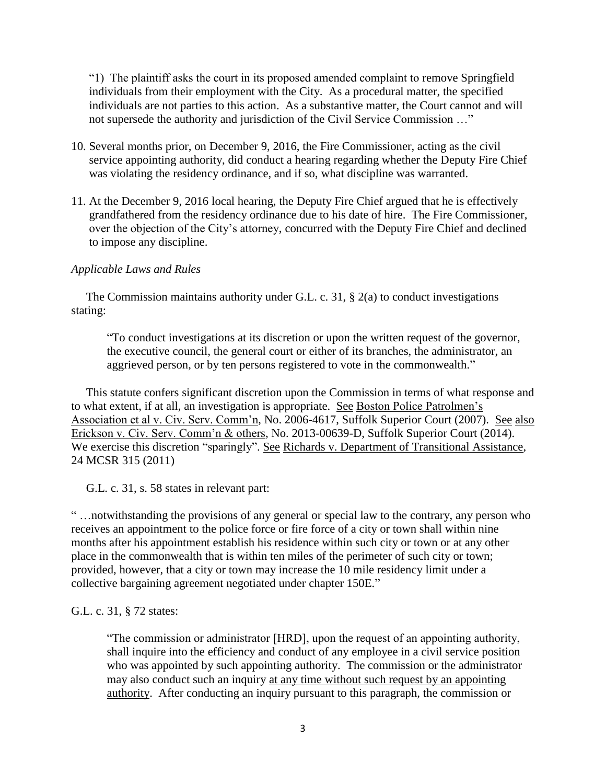"1) The plaintiff asks the court in its proposed amended complaint to remove Springfield individuals from their employment with the City. As a procedural matter, the specified individuals are not parties to this action. As a substantive matter, the Court cannot and will not supersede the authority and jurisdiction of the Civil Service Commission …"

- 10. Several months prior, on December 9, 2016, the Fire Commissioner, acting as the civil service appointing authority, did conduct a hearing regarding whether the Deputy Fire Chief was violating the residency ordinance, and if so, what discipline was warranted.
- 11. At the December 9, 2016 local hearing, the Deputy Fire Chief argued that he is effectively grandfathered from the residency ordinance due to his date of hire. The Fire Commissioner, over the objection of the City's attorney, concurred with the Deputy Fire Chief and declined to impose any discipline.

### *Applicable Laws and Rules*

 The Commission maintains authority under G.L. c. 31, § 2(a) to conduct investigations stating:

"To conduct investigations at its discretion or upon the written request of the governor, the executive council, the general court or either of its branches, the administrator, an aggrieved person, or by ten persons registered to vote in the commonwealth."

 This statute confers significant discretion upon the Commission in terms of what response and to what extent, if at all, an investigation is appropriate. See Boston Police Patrolmen's Association et al v. Civ. Serv. Comm'n, No. 2006-4617, Suffolk Superior Court (2007). See also Erickson v. Civ. Serv. Comm'n & others, No. 2013-00639-D, Suffolk Superior Court (2014). We exercise this discretion "sparingly". See Richards v. Department of Transitional Assistance, 24 MCSR 315 (2011)

G.L. c. 31, s. 58 states in relevant part:

" …notwithstanding the provisions of any general or special law to the contrary, any person who receives an appointment to the police force or fire force of a city or town shall within nine months after his appointment establish his residence within such city or town or at any other place in the commonwealth that is within ten miles of the perimeter of such city or town; provided, however, that a city or town may increase the 10 mile residency limit under a collective bargaining agreement negotiated under chapter 150E."

G.L. c. 31, § 72 states:

"The commission or administrator [HRD], upon the request of an appointing authority, shall inquire into the efficiency and conduct of any employee in a civil service position who was appointed by such appointing authority. The commission or the administrator may also conduct such an inquiry at any time without such request by an appointing authority. After conducting an inquiry pursuant to this paragraph, the commission or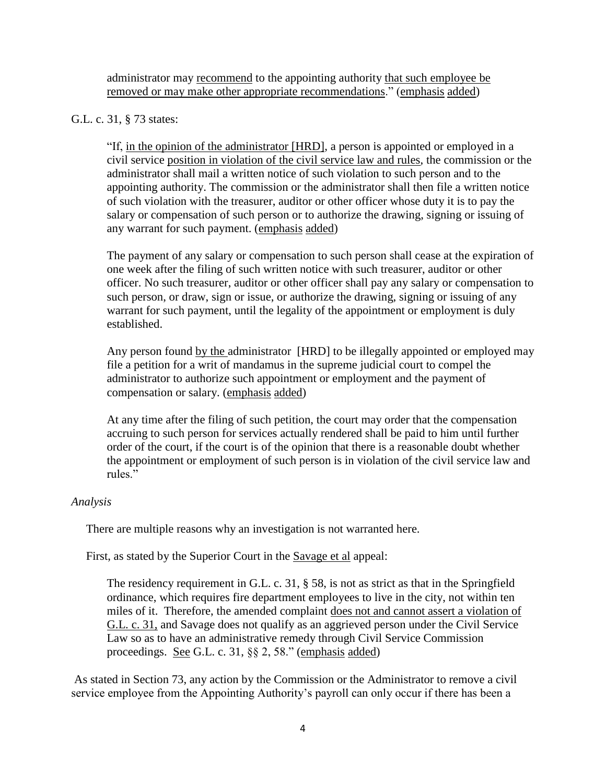administrator may recommend to the appointing authority that such employee be removed or may make other appropriate recommendations." (emphasis added)

## G.L. c. 31, § 73 states:

"If, in the opinion of the administrator [HRD], a person is appointed or employed in a civil service position in violation of the civil service law and rules, the commission or the administrator shall mail a written notice of such violation to such person and to the appointing authority. The commission or the administrator shall then file a written notice of such violation with the treasurer, auditor or other officer whose duty it is to pay the salary or compensation of such person or to authorize the drawing, signing or issuing of any warrant for such payment. (emphasis added)

The payment of any salary or compensation to such person shall cease at the expiration of one week after the filing of such written notice with such treasurer, auditor or other officer. No such treasurer, auditor or other officer shall pay any salary or compensation to such person, or draw, sign or issue, or authorize the drawing, signing or issuing of any warrant for such payment, until the legality of the appointment or employment is duly established.

Any person found by the administrator [HRD] to be illegally appointed or employed may file a petition for a writ of mandamus in the supreme judicial court to compel the administrator to authorize such appointment or employment and the payment of compensation or salary. (emphasis added)

At any time after the filing of such petition, the court may order that the compensation accruing to such person for services actually rendered shall be paid to him until further order of the court, if the court is of the opinion that there is a reasonable doubt whether the appointment or employment of such person is in violation of the civil service law and rules."

### *Analysis*

There are multiple reasons why an investigation is not warranted here.

First, as stated by the Superior Court in the Savage et al appeal:

The residency requirement in G.L. c. 31, § 58, is not as strict as that in the Springfield ordinance, which requires fire department employees to live in the city, not within ten miles of it. Therefore, the amended complaint does not and cannot assert a violation of G.L. c. 31, and Savage does not qualify as an aggrieved person under the Civil Service Law so as to have an administrative remedy through Civil Service Commission proceedings. See G.L. c. 31, §§ 2, 58." (emphasis added)

As stated in Section 73, any action by the Commission or the Administrator to remove a civil service employee from the Appointing Authority's payroll can only occur if there has been a